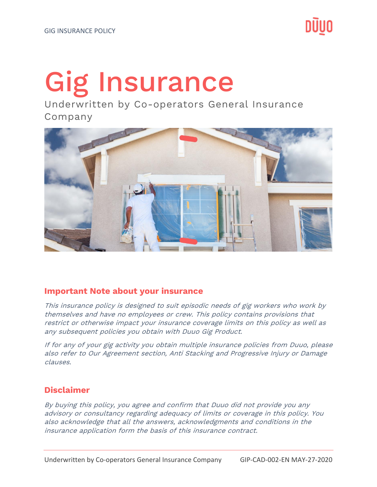## DUUC

# Gig Insurance

Underwritten by Co-operators General Insurance Company



#### **Important Note about your insurance**

This insurance policy is designed to suit episodic needs of gig workers who work by themselves and have no employees or crew. This policy contains provisions that restrict or otherwise impact your insurance coverage limits on this policy as well as any subsequent policies you obtain with Duuo Gig Product.

If for any of your gig activity you obtain multiple insurance policies from Duuo, please also refer to Our Agreement section, Anti Stacking and Progressive Injury or Damage clauses.

#### **Disclaimer**

By buying this policy, you agree and confirm that Duuo did not provide you any advisory or consultancy regarding adequacy of limits or coverage in this policy. You also acknowledge that all the answers, acknowledgments and conditions in the insurance application form the basis of this insurance contract.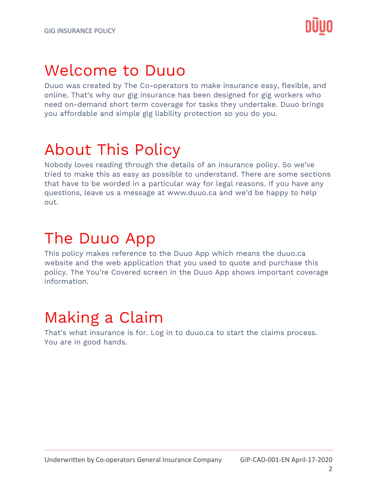### Welcome to Duuo

Duuo was created by The Co-operators to make insurance easy, flexible, and online. That's why our gig insurance has been designed for gig workers who need on-demand short term coverage for tasks they undertake. Duuo brings you affordable and simple gig liability protection so you do you.

## About This Policy

Nobody loves reading through the details of an insurance policy. So we've tried to make this as easy as possible to understand. There are some sections that have to be worded in a particular way for legal reasons. If you have any questions, leave us a message at www.duuo.ca and we'd be happy to help out.

## The Duuo App

This policy makes reference to the Duuo App which means the duuo.ca website and the web application that you used to quote and purchase this policy. The You're Covered screen in the Duuo App shows important coverage information.

## Making a Claim

That's what insurance is for. Log in to duuo.ca to start the claims process. You are in good hands.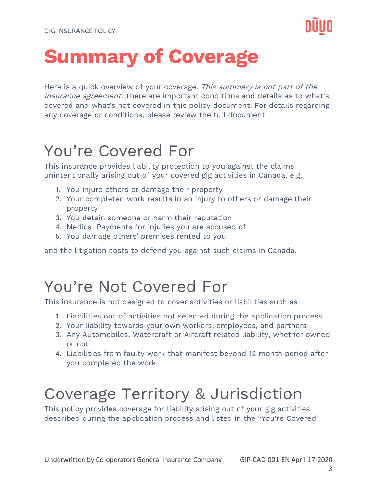# **Summary of Coverage**

Here is a quick overview of your coverage. This summary is not part of the insurance agreement. There are important conditions and details as to what's covered and what's not covered in this policy document. For details regarding any coverage or conditions, please review the full document.

### You're Covered For

This insurance provides liability protection to you against the claims unintentionally arising out of your covered gig activities in Canada, e.g.

- 1. You injure others or damage their property
- 2. Your completed work results in an injury to others or damage their property
- 3. You detain someone or harm their reputation
- 4. Medical Payments for injuries you are accused of
- 5. You damage others' premises rented to you

and the litigation costs to defend you against such claims in Canada.

### You're Not Covered For

This insurance is not designed to cover activities or liabilities such as

- 1. Liabilities out of activities not selected during the application process
- 2. Your liability towards your own workers, employees, and partners
- 3. Any Automobiles, Watercraft or Aircraft related liability, whether owned or not
- 4. Liabilities from faulty work that manifest beyond 12 month period after you completed the work

## Coverage Territory & Jurisdiction

This policy provides coverage for liability arising out of your gig activities described during the application process and listed in the "You're Covered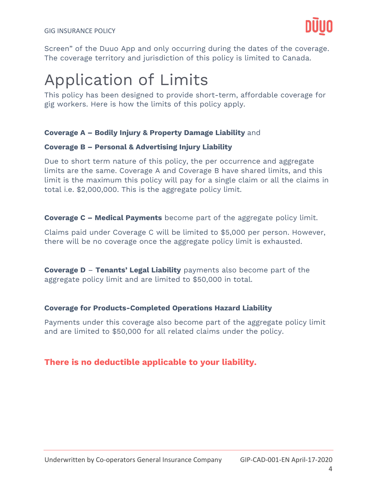

Screen" of the Duuo App and only occurring during the dates of the coverage. The coverage territory and jurisdiction of this policy is limited to Canada.

## Application of Limits

This policy has been designed to provide short-term, affordable coverage for gig workers. Here is how the limits of this policy apply.

#### **Coverage A – Bodily Injury & Property Damage Liability** and

#### **Coverage B – Personal & Advertising Injury Liability**

Due to short term nature of this policy, the per occurrence and aggregate limits are the same. Coverage A and Coverage B have shared limits, and this limit is the maximum this policy will pay for a single claim or all the claims in total i.e. \$2,000,000. This is the aggregate policy limit.

**Coverage C – Medical Payments** become part of the aggregate policy limit.

Claims paid under Coverage C will be limited to \$5,000 per person. However, there will be no coverage once the aggregate policy limit is exhausted.

**Coverage D** – **Tenants' Legal Liability** payments also become part of the aggregate policy limit and are limited to \$50,000 in total.

#### **Coverage for Products-Completed Operations Hazard Liability**

Payments under this coverage also become part of the aggregate policy limit and are limited to \$50,000 for all related claims under the policy.

### **There is no deductible applicable to your liability.**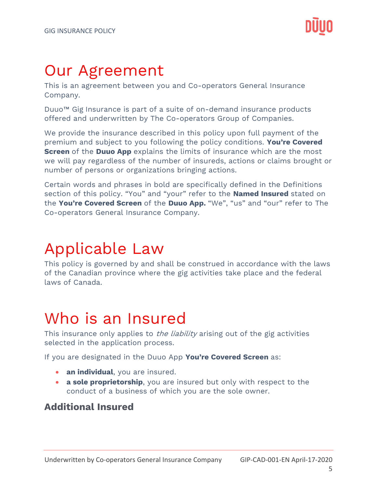

### Our Agreement

This is an agreement between you and Co-operators General Insurance Company.

Duuo™ Gig Insurance is part of a suite of on-demand insurance products offered and underwritten by The Co-operators Group of Companies.

We provide the insurance described in this policy upon full payment of the premium and subject to you following the policy conditions. **You're Covered Screen** of the **Duuo App** explains the limits of insurance which are the most we will pay regardless of the number of insureds, actions or claims brought or number of persons or organizations bringing actions.

Certain words and phrases in bold are specifically defined in the Definitions section of this policy. "You" and "your" refer to the **Named Insured** stated on the **You're Covered Screen** of the **Duuo App.** "We", "us" and "our" refer to The Co-operators General Insurance Company.

## Applicable Law

This policy is governed by and shall be construed in accordance with the laws of the Canadian province where the gig activities take place and the federal laws of Canada.

## Who is an Insured

This insurance only applies to *the liability* arising out of the gig activities selected in the application process.

If you are designated in the Duuo App **You're Covered Screen** as:

- **an individual**, you are insured.
- **a sole proprietorship**, you are insured but only with respect to the conduct of a business of which you are the sole owner.

### **Additional Insured**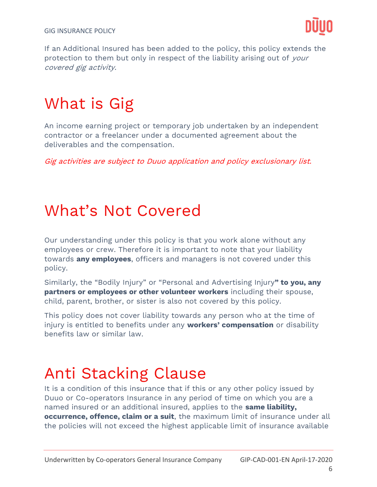

If an Additional Insured has been added to the policy, this policy extends the protection to them but only in respect of the liability arising out of *your* covered gig activity.

### What is Gig

An income earning project or temporary job undertaken by an independent contractor or a freelancer under a documented agreement about the deliverables and the compensation.

Gig activities are subject to Duuo application and policy exclusionary list.

### What's Not Covered

Our understanding under this policy is that you work alone without any employees or crew. Therefore it is important to note that your liability towards **any employees**, officers and managers is not covered under this policy.

Similarly, the "Bodily Injury" or "Personal and Advertising Injury**" to you, any partners or employees or other volunteer workers** including their spouse, child, parent, brother, or sister is also not covered by this policy.

This policy does not cover liability towards any person who at the time of injury is entitled to benefits under any **workers' compensation** or disability benefits law or similar law.

## Anti Stacking Clause

It is a condition of this insurance that if this or any other policy issued by Duuo or Co-operators Insurance in any period of time on which you are a named insured or an additional insured, applies to the **same liability, occurrence, offence, claim or a suit**, the maximum limit of insurance under all the policies will not exceed the highest applicable limit of insurance available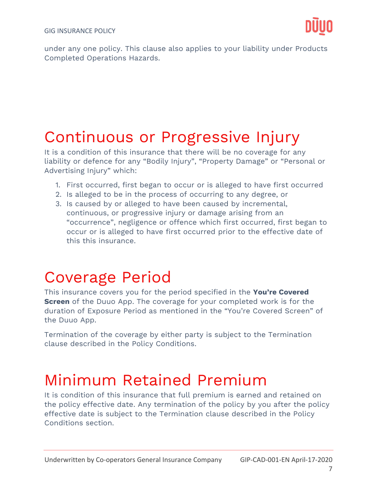

under any one policy. This clause also applies to your liability under Products Completed Operations Hazards.

### Continuous or Progressive Injury

It is a condition of this insurance that there will be no coverage for any liability or defence for any "Bodily Injury", "Property Damage" or "Personal or Advertising Injury" which:

- 1. First occurred, first began to occur or is alleged to have first occurred
- 2. Is alleged to be in the process of occurring to any degree, or
- 3. Is caused by or alleged to have been caused by incremental, continuous, or progressive injury or damage arising from an "occurrence", negligence or offence which first occurred, first began to occur or is alleged to have first occurred prior to the effective date of this this insurance.

### Coverage Period

This insurance covers you for the period specified in the **You're Covered Screen** of the Duuo App. The coverage for your completed work is for the duration of Exposure Period as mentioned in the "You're Covered Screen" of the Duuo App.

Termination of the coverage by either party is subject to the Termination clause described in the Policy Conditions.

### Minimum Retained Premium

It is condition of this insurance that full premium is earned and retained on the policy effective date. Any termination of the policy by you after the policy effective date is subject to the Termination clause described in the Policy Conditions section.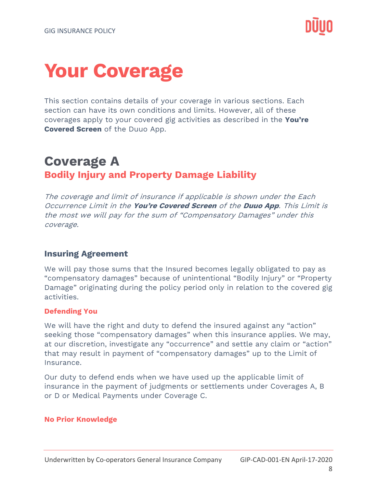

# **Your Coverage**

This section contains details of your coverage in various sections. Each section can have its own conditions and limits. However, all of these coverages apply to your covered gig activities as described in the **You're Covered Screen** of the Duuo App.

### **Coverage A Bodily Injury and Property Damage Liability**

The coverage and limit of insurance if applicable is shown under the Each Occurrence Limit in the **You're Covered Screen** of the **Duuo App**. This Limit is the most we will pay for the sum of "Compensatory Damages" under this coverage.

#### **Insuring Agreement**

We will pay those sums that the Insured becomes legally obligated to pay as "compensatory damages" because of unintentional "Bodily Injury" or "Property Damage" originating during the policy period only in relation to the covered gig activities.

#### **Defending You**

We will have the right and duty to defend the insured against any "action" seeking those "compensatory damages" when this insurance applies. We may, at our discretion, investigate any "occurrence" and settle any claim or "action" that may result in payment of "compensatory damages" up to the Limit of Insurance.

Our duty to defend ends when we have used up the applicable limit of insurance in the payment of judgments or settlements under Coverages A, B or D or Medical Payments under Coverage C.

#### **No Prior Knowledge**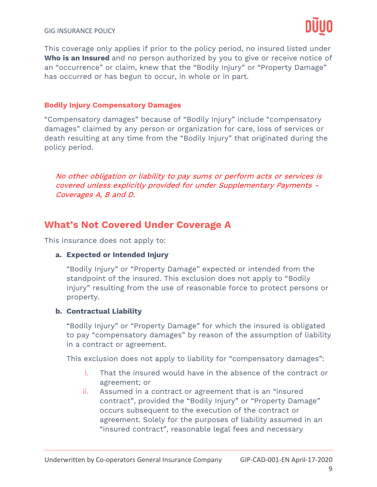

This coverage only applies if prior to the policy period, no insured listed under **Who is an Insured** and no person authorized by you to give or receive notice of an "occurrence" or claim, knew that the "Bodily Injury" or "Property Damage" has occurred or has begun to occur, in whole or in part.

#### **Bodily Injury Compensatory Damages**

"Compensatory damages" because of "Bodily Injury" include "compensatory damages" claimed by any person or organization for care, loss of services or death resulting at any time from the "Bodily Injury" that originated during the policy period.

No other obligation or liability to pay sums or perform acts or services is covered unless explicitly provided for under Supplementary Payments - Coverages A, B and D.

### **What's Not Covered Under Coverage A**

This insurance does not apply to:

#### **a. Expected or Intended Injury**

"Bodily Injury" or "Property Damage" expected or intended from the standpoint of the insured. This exclusion does not apply to "Bodily Injury" resulting from the use of reasonable force to protect persons or property.

#### **b. Contractual Liability**

"Bodily Injury" or "Property Damage" for which the insured is obligated to pay "compensatory damages" by reason of the assumption of liability in a contract or agreement.

This exclusion does not apply to liability for "compensatory damages":

- i. That the insured would have in the absence of the contract or agreement; or
- ii. Assumed in a contract or agreement that is an "insured contract", provided the "Bodily Injury" or "Property Damage" occurs subsequent to the execution of the contract or agreement. Solely for the purposes of liability assumed in an "insured contract", reasonable legal fees and necessary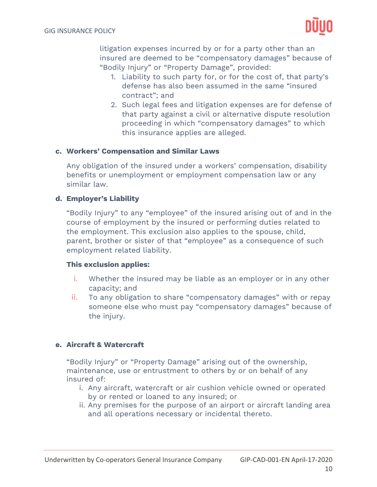litigation expenses incurred by or for a party other than an insured are deemed to be "compensatory damages" because of "Bodily Injury" or "Property Damage", provided:

- 1. Liability to such party for, or for the cost of, that party's defense has also been assumed in the same "insured contract"; and
- 2. Such legal fees and litigation expenses are for defense of that party against a civil or alternative dispute resolution proceeding in which "compensatory damages" to which this insurance applies are alleged.

#### **c. Workers' Compensation and Similar Laws**

Any obligation of the insured under a workers' compensation, disability benefits or unemployment or employment compensation law or any similar law.

#### **d. Employer's Liability**

"Bodily Injury" to any "employee" of the insured arising out of and in the course of employment by the insured or performing duties related to the employment. This exclusion also applies to the spouse, child, parent, brother or sister of that "employee" as a consequence of such employment related liability.

#### **This exclusion applies:**

- i. Whether the insured may be liable as an employer or in any other capacity; and
- ii. To any obligation to share "compensatory damages" with or repay someone else who must pay "compensatory damages" because of the injury.

#### **e. Aircraft & Watercraft**

"Bodily Injury" or "Property Damage" arising out of the ownership, maintenance, use or entrustment to others by or on behalf of any insured of:

- i. Any aircraft, watercraft or air cushion vehicle owned or operated by or rented or loaned to any insured; or
- ii. Any premises for the purpose of an airport or aircraft landing area and all operations necessary or incidental thereto.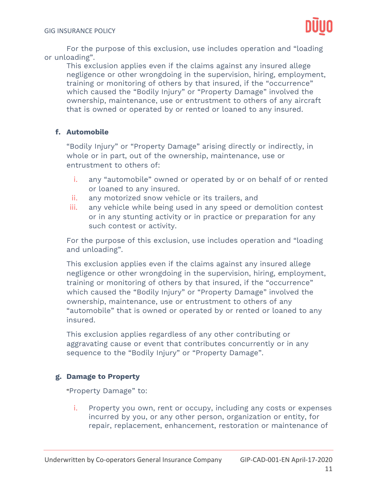

For the purpose of this exclusion, use includes operation and "loading or unloading".

This exclusion applies even if the claims against any insured allege negligence or other wrongdoing in the supervision, hiring, employment, training or monitoring of others by that insured, if the "occurrence" which caused the "Bodily Injury" or "Property Damage" involved the ownership, maintenance, use or entrustment to others of any aircraft that is owned or operated by or rented or loaned to any insured.

#### **f. Automobile**

"Bodily Injury" or "Property Damage" arising directly or indirectly, in whole or in part, out of the ownership, maintenance, use or entrustment to others of:

- i. any "automobile" owned or operated by or on behalf of or rented or loaned to any insured.
- ii. any motorized snow vehicle or its trailers, and
- iii. any vehicle while being used in any speed or demolition contest or in any stunting activity or in practice or preparation for any such contest or activity.

For the purpose of this exclusion, use includes operation and "loading and unloading".

This exclusion applies even if the claims against any insured allege negligence or other wrongdoing in the supervision, hiring, employment, training or monitoring of others by that insured, if the "occurrence" which caused the "Bodily Injury" or "Property Damage" involved the ownership, maintenance, use or entrustment to others of any "automobile" that is owned or operated by or rented or loaned to any insured.

This exclusion applies regardless of any other contributing or aggravating cause or event that contributes concurrently or in any sequence to the "Bodily Injury" or "Property Damage".

#### **g. Damage to Property**

"Property Damage" to:

i. Property you own, rent or occupy, including any costs or expenses incurred by you, or any other person, organization or entity, for repair, replacement, enhancement, restoration or maintenance of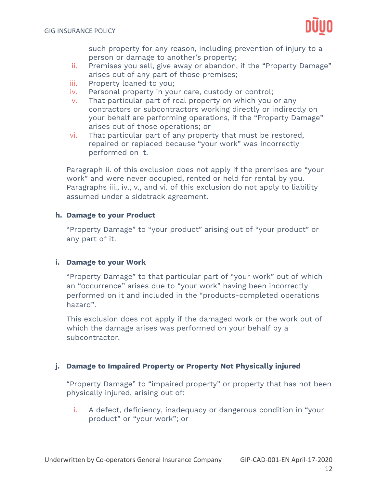

such property for any reason, including prevention of injury to a person or damage to another's property;

- ii. Premises you sell, give away or abandon, if the "Property Damage" arises out of any part of those premises;
- iii. Property loaned to you;
- iv. Personal property in your care, custody or control;
- v. That particular part of real property on which you or any contractors or subcontractors working directly or indirectly on your behalf are performing operations, if the "Property Damage" arises out of those operations; or
- vi. That particular part of any property that must be restored, repaired or replaced because "your work" was incorrectly performed on it.

Paragraph ii. of this exclusion does not apply if the premises are "your work" and were never occupied, rented or held for rental by you. Paragraphs iii., iv., v., and vi. of this exclusion do not apply to liability assumed under a sidetrack agreement.

#### **h. Damage to your Product**

"Property Damage" to "your product" arising out of "your product" or any part of it.

#### **i. Damage to your Work**

"Property Damage" to that particular part of "your work" out of which an "occurrence" arises due to "your work" having been incorrectly performed on it and included in the "products-completed operations hazard".

This exclusion does not apply if the damaged work or the work out of which the damage arises was performed on your behalf by a subcontractor.

#### **j. Damage to Impaired Property or Property Not Physically injured**

"Property Damage" to "impaired property" or property that has not been physically injured, arising out of:

i. A defect, deficiency, inadequacy or dangerous condition in "your product" or "your work"; or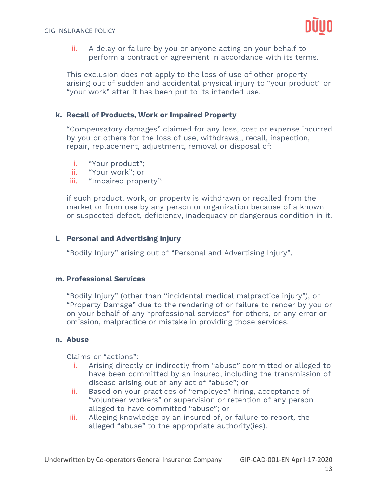

ii. A delay or failure by you or anyone acting on your behalf to perform a contract or agreement in accordance with its terms.

This exclusion does not apply to the loss of use of other property arising out of sudden and accidental physical injury to "your product" or "your work" after it has been put to its intended use.

#### **k. Recall of Products, Work or Impaired Property**

"Compensatory damages" claimed for any loss, cost or expense incurred by you or others for the loss of use, withdrawal, recall, inspection, repair, replacement, adjustment, removal or disposal of:

- i. "Your product";
- ii. "Your work"; or
- iii. "Impaired property";

if such product, work, or property is withdrawn or recalled from the market or from use by any person or organization because of a known or suspected defect, deficiency, inadequacy or dangerous condition in it.

#### **l. Personal and Advertising Injury**

"Bodily Injury" arising out of "Personal and Advertising Injury".

#### **m. Professional Services**

"Bodily Injury" (other than "incidental medical malpractice injury"), or "Property Damage" due to the rendering of or failure to render by you or on your behalf of any "professional services" for others, or any error or omission, malpractice or mistake in providing those services.

#### **n. Abuse**

Claims or "actions":

- i. Arising directly or indirectly from "abuse" committed or alleged to have been committed by an insured, including the transmission of disease arising out of any act of "abuse"; or
- ii. Based on your practices of "employee" hiring, acceptance of "volunteer workers" or supervision or retention of any person alleged to have committed "abuse"; or
- iii. Alleging knowledge by an insured of, or failure to report, the alleged "abuse" to the appropriate authority(ies).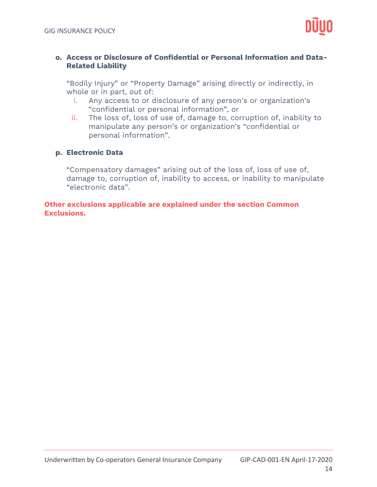

#### **o. Access or Disclosure of Confidential or Personal Information and Data-Related Liability**

"Bodily Injury" or "Property Damage" arising directly or indirectly, in whole or in part, out of:

- i. Any access to or disclosure of any person's or organization's "confidential or personal information", or
- ii. The loss of, loss of use of, damage to, corruption of, inability to manipulate any person's or organization's "confidential or personal information".

#### **p. Electronic Data**

"Compensatory damages" arising out of the loss of, loss of use of, damage to, corruption of, inability to access, or inability to manipulate "electronic data".

#### **Other exclusions applicable are explained under the section Common Exclusions.**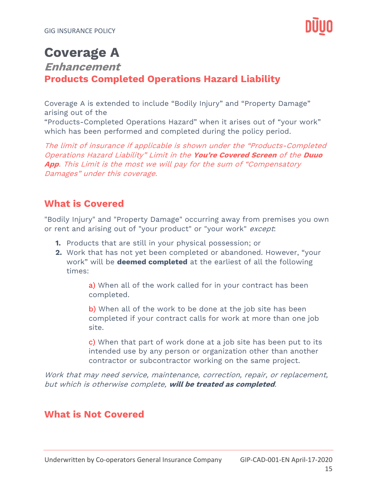### **Coverage A Enhancement Products Completed Operations Hazard Liability**

Coverage A is extended to include "Bodily Injury" and "Property Damage" arising out of the

"Products-Completed Operations Hazard" when it arises out of "your work" which has been performed and completed during the policy period.

The limit of insurance if applicable is shown under the "Products-Completed Operations Hazard Liability" Limit in the **You're Covered Screen** of the **Duuo App**. This Limit is the most we will pay for the sum of "Compensatory Damages" under this coverage.

### **What is Covered**

"Bodily Injury" and "Property Damage" occurring away from premises you own or rent and arising out of "your product" or "your work" except:

- **1.** Products that are still in your physical possession; or
- **2.** Work that has not yet been completed or abandoned. However, "your work" will be **deemed completed** at the earliest of all the following times:

a) When all of the work called for in your contract has been completed.

b) When all of the work to be done at the job site has been completed if your contract calls for work at more than one job site.

c) When that part of work done at a job site has been put to its intended use by any person or organization other than another contractor or subcontractor working on the same project.

Work that may need service, maintenance, correction, repair, or replacement, but which is otherwise complete, **will be treated as completed**.

### **What is Not Covered**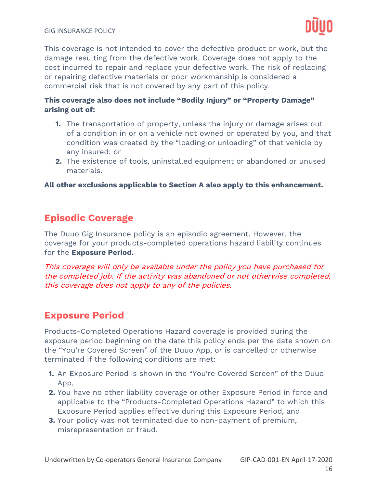

This coverage is not intended to cover the defective product or work, but the damage resulting from the defective work. Coverage does not apply to the cost incurred to repair and replace your defective work. The risk of replacing or repairing defective materials or poor workmanship is considered a commercial risk that is not covered by any part of this policy.

#### **This coverage also does not include "Bodily Injury" or "Property Damage" arising out of:**

- **1.** The transportation of property, unless the injury or damage arises out of a condition in or on a vehicle not owned or operated by you, and that condition was created by the "loading or unloading" of that vehicle by any insured; or
- **2.** The existence of tools, uninstalled equipment or abandoned or unused materials.

#### **All other exclusions applicable to Section A also apply to this enhancement.**

### **Episodic Coverage**

The Duuo Gig Insurance policy is an episodic agreement. However, the coverage for your products-completed operations hazard liability continues for the **Exposure Period.**

This coverage will only be available under the policy you have purchased for the completed job. If the activity was abandoned or not otherwise completed, this coverage does not apply to any of the policies.

### **Exposure Period**

Products-Completed Operations Hazard coverage is provided during the exposure period beginning on the date this policy ends per the date shown on the "You're Covered Screen" of the Duuo App, or is cancelled or otherwise terminated if the following conditions are met:

- **1.** An Exposure Period is shown in the "You're Covered Screen" of the Duuo App,
- **2.** You have no other liability coverage or other Exposure Period in force and applicable to the "Products-Completed Operations Hazard" to which this Exposure Period applies effective during this Exposure Period, and
- **3.** Your policy was not terminated due to non-payment of premium, misrepresentation or fraud.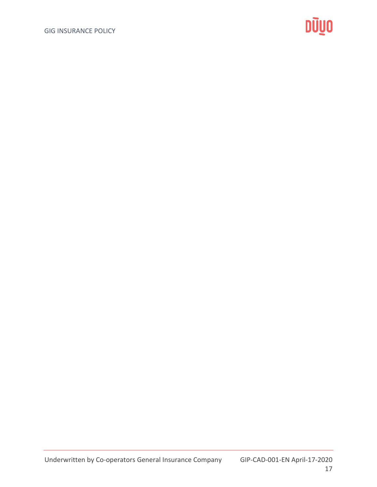## **DÙUO**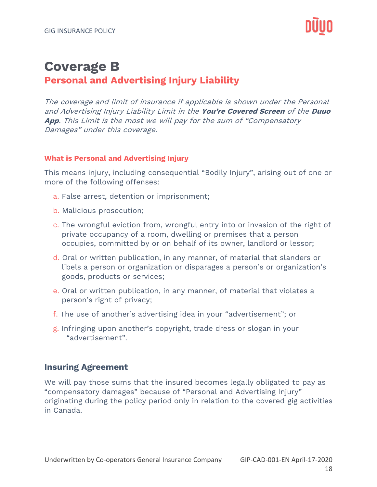### **Coverage B Personal and Advertising Injury Liability**

The coverage and limit of insurance if applicable is shown under the Personal and Advertising Injury Liability Limit in the **You're Covered Screen** of the **Duuo App**. This Limit is the most we will pay for the sum of "Compensatory Damages" under this coverage.

#### **What is Personal and Advertising Injury**

This means injury, including consequential "Bodily Injury", arising out of one or more of the following offenses:

- a. False arrest, detention or imprisonment;
- b. Malicious prosecution;
- c. The wrongful eviction from, wrongful entry into or invasion of the right of private occupancy of a room, dwelling or premises that a person occupies, committed by or on behalf of its owner, landlord or lessor;
- d. Oral or written publication, in any manner, of material that slanders or libels a person or organization or disparages a person's or organization's goods, products or services;
- e. Oral or written publication, in any manner, of material that violates a person's right of privacy;
- f. The use of another's advertising idea in your "advertisement"; or
- g. Infringing upon another's copyright, trade dress or slogan in your "advertisement".

#### **Insuring Agreement**

We will pay those sums that the insured becomes legally obligated to pay as "compensatory damages" because of "Personal and Advertising Injury" originating during the policy period only in relation to the covered gig activities in Canada.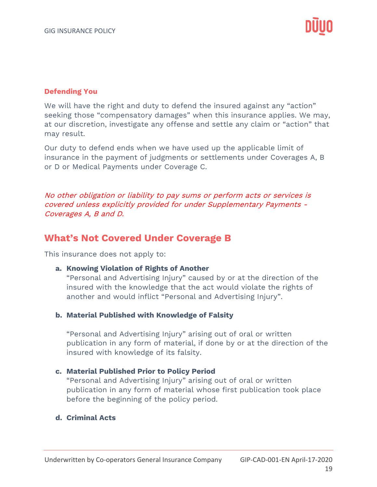#### **Defending You**

We will have the right and duty to defend the insured against any "action" seeking those "compensatory damages" when this insurance applies. We may, at our discretion, investigate any offense and settle any claim or "action" that may result.

Our duty to defend ends when we have used up the applicable limit of insurance in the payment of judgments or settlements under Coverages A, B or D or Medical Payments under Coverage C.

No other obligation or liability to pay sums or perform acts or services is covered unless explicitly provided for under Supplementary Payments - Coverages A, B and D.

### **What's Not Covered Under Coverage B**

This insurance does not apply to:

#### **a. Knowing Violation of Rights of Another**

"Personal and Advertising Injury" caused by or at the direction of the insured with the knowledge that the act would violate the rights of another and would inflict "Personal and Advertising Injury".

#### **b. Material Published with Knowledge of Falsity**

"Personal and Advertising Injury" arising out of oral or written publication in any form of material, if done by or at the direction of the insured with knowledge of its falsity.

#### **c. Material Published Prior to Policy Period**

"Personal and Advertising Injury" arising out of oral or written publication in any form of material whose first publication took place before the beginning of the policy period.

#### **d. Criminal Acts**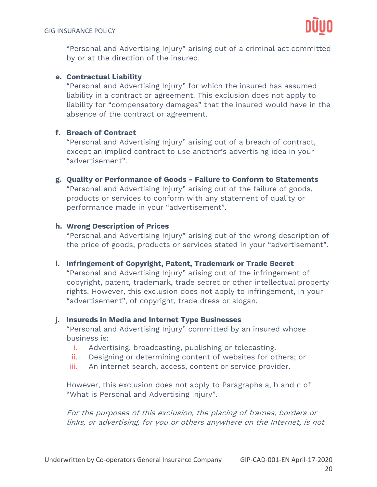

"Personal and Advertising Injury" arising out of a criminal act committed by or at the direction of the insured.

#### **e. Contractual Liability**

"Personal and Advertising Injury" for which the insured has assumed liability in a contract or agreement. This exclusion does not apply to liability for "compensatory damages" that the insured would have in the absence of the contract or agreement.

#### **f. Breach of Contract**

"Personal and Advertising Injury" arising out of a breach of contract, except an implied contract to use another's advertising idea in your "advertisement".

**g. Quality or Performance of Goods - Failure to Conform to Statements** "Personal and Advertising Injury" arising out of the failure of goods, products or services to conform with any statement of quality or performance made in your "advertisement".

#### **h. Wrong Description of Prices**

"Personal and Advertising Injury" arising out of the wrong description of the price of goods, products or services stated in your "advertisement".

#### **i. Infringement of Copyright, Patent, Trademark or Trade Secret**

"Personal and Advertising Injury" arising out of the infringement of copyright, patent, trademark, trade secret or other intellectual property rights. However, this exclusion does not apply to infringement, in your "advertisement", of copyright, trade dress or slogan.

#### **j. Insureds in Media and Internet Type Businesses**

"Personal and Advertising Injury" committed by an insured whose business is:

- i. Advertising, broadcasting, publishing or telecasting.
- ii. Designing or determining content of websites for others; or
- iii. An internet search, access, content or service provider.

However, this exclusion does not apply to Paragraphs a, b and c of "What is Personal and Advertising Injury".

For the purposes of this exclusion, the placing of frames, borders or links, or advertising, for you or others anywhere on the Internet, is not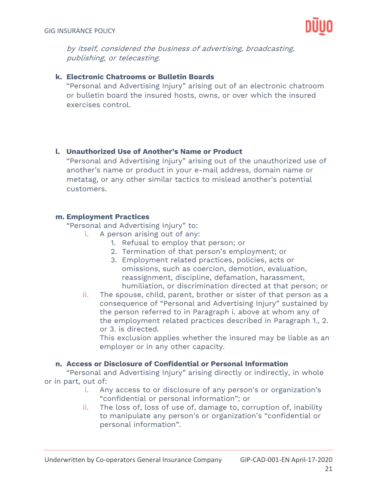by itself, considered the business of advertising, broadcasting, publishing, or telecasting.

#### **k. Electronic Chatrooms or Bulletin Boards**

"Personal and Advertising Injury" arising out of an electronic chatroom or bulletin board the insured hosts, owns, or over which the insured exercises control.

#### **l. Unauthorized Use of Another's Name or Product**

"Personal and Advertising Injury" arising out of the unauthorized use of another's name or product in your e-mail address, domain name or metatag, or any other similar tactics to mislead another's potential customers.

#### **m. Employment Practices**

"Personal and Advertising Injury" to:

- i. A person arising out of any:
	- 1. Refusal to employ that person; or
	- 2. Termination of that person's employment; or
	- 3. Employment related practices, policies, acts or omissions, such as coercion, demotion, evaluation, reassignment, discipline, defamation, harassment, humiliation, or discrimination directed at that person; or
- ii. The spouse, child, parent, brother or sister of that person as a consequence of "Personal and Advertising Injury" sustained by the person referred to in Paragraph i. above at whom any of the employment related practices described in Paragraph 1., 2. or 3. is directed.

This exclusion applies whether the insured may be liable as an employer or in any other capacity.

#### **n. Access or Disclosure of Confidential or Personal Information**

"Personal and Advertising Injury" arising directly or indirectly, in whole or in part, out of:

- i. Any access to or disclosure of any person's or organization's "confidential or personal information"; or
- ii. The loss of, loss of use of, damage to, corruption of, inability to manipulate any person's or organization's "confidential or personal information".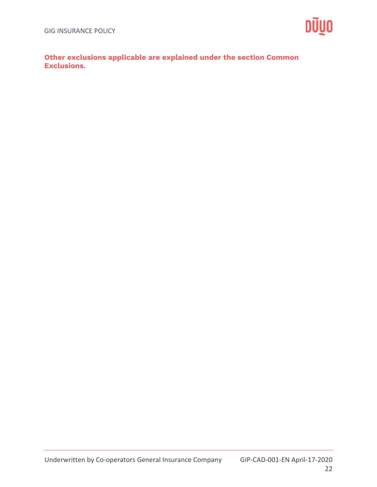

**Other exclusions applicable are explained under the section Common Exclusions.**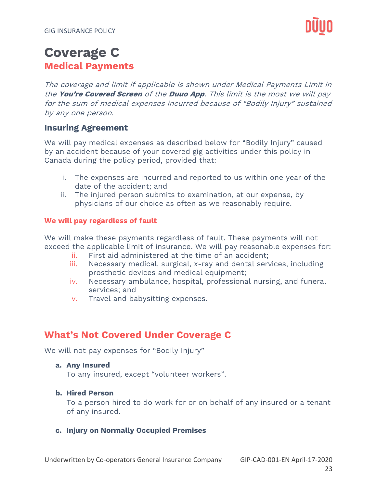### **Coverage C Medical Payments**

The coverage and limit if applicable is shown under Medical Payments Limit in the **You're Covered Screen** of the **Duuo App**. This limit is the most we will pay for the sum of medical expenses incurred because of "Bodily Injury" sustained by any one person.

#### **Insuring Agreement**

We will pay medical expenses as described below for "Bodily Injury" caused by an accident because of your covered gig activities under this policy in Canada during the policy period, provided that:

- i. The expenses are incurred and reported to us within one year of the date of the accident; and
- ii. The injured person submits to examination, at our expense, by physicians of our choice as often as we reasonably require.

#### **We will pay regardless of fault**

We will make these payments regardless of fault. These payments will not exceed the applicable limit of insurance. We will pay reasonable expenses for:

- ii. First aid administered at the time of an accident;
- iii. Necessary medical, surgical, x-ray and dental services, including prosthetic devices and medical equipment;
- iv. Necessary ambulance, hospital, professional nursing, and funeral services; and
- v. Travel and babysitting expenses.

### **What's Not Covered Under Coverage C**

We will not pay expenses for "Bodily Injury"

#### **a. Any Insured**

To any insured, except "volunteer workers".

#### **b. Hired Person**

To a person hired to do work for or on behalf of any insured or a tenant of any insured.

**c. Injury on Normally Occupied Premises**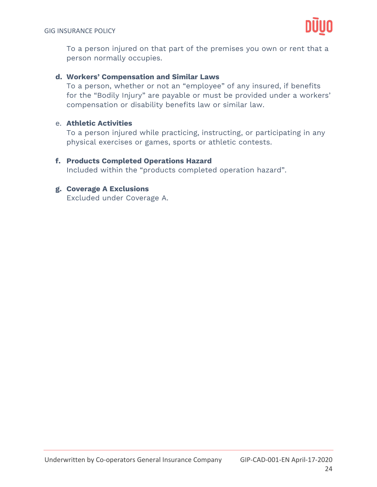

To a person injured on that part of the premises you own or rent that a person normally occupies.

#### **d. Workers' Compensation and Similar Laws**

To a person, whether or not an "employee" of any insured, if benefits for the "Bodily Injury" are payable or must be provided under a workers' compensation or disability benefits law or similar law.

#### e. **Athletic Activities**

To a person injured while practicing, instructing, or participating in any physical exercises or games, sports or athletic contests.

#### **f. Products Completed Operations Hazard**

Included within the "products completed operation hazard".

#### **g. Coverage A Exclusions**

Excluded under Coverage A.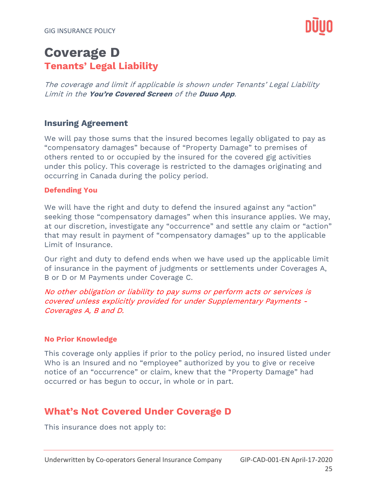### **Coverage D Tenants' Legal Liability**

The coverage and limit if applicable is shown under Tenants' Legal Liability Limit in the **You're Covered Screen** of the **Duuo App**.

#### **Insuring Agreement**

We will pay those sums that the insured becomes legally obligated to pay as "compensatory damages" because of "Property Damage" to premises of others rented to or occupied by the insured for the covered gig activities under this policy. This coverage is restricted to the damages originating and occurring in Canada during the policy period.

#### **Defending You**

We will have the right and duty to defend the insured against any "action" seeking those "compensatory damages" when this insurance applies. We may, at our discretion, investigate any "occurrence" and settle any claim or "action" that may result in payment of "compensatory damages" up to the applicable Limit of Insurance.

Our right and duty to defend ends when we have used up the applicable limit of insurance in the payment of judgments or settlements under Coverages A, B or D or M Payments under Coverage C.

No other obligation or liability to pay sums or perform acts or services is covered unless explicitly provided for under Supplementary Payments - Coverages A, B and D.

#### **No Prior Knowledge**

This coverage only applies if prior to the policy period, no insured listed under Who is an Insured and no "employee" authorized by you to give or receive notice of an "occurrence" or claim, knew that the "Property Damage" had occurred or has begun to occur, in whole or in part.

### **What's Not Covered Under Coverage D**

This insurance does not apply to: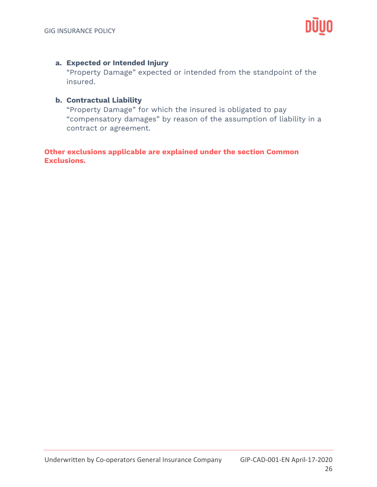

#### **a. Expected or Intended Injury**

"Property Damage" expected or intended from the standpoint of the insured.

#### **b. Contractual Liability**

"Property Damage" for which the insured is obligated to pay "compensatory damages" by reason of the assumption of liability in a contract or agreement.

**Other exclusions applicable are explained under the section Common Exclusions.**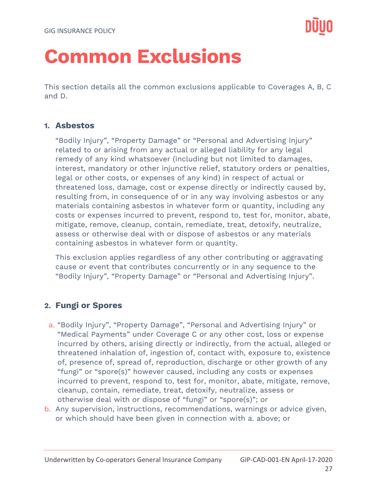## **Common Exclusions**

This section details all the common exclusions applicable to Coverages A, B, C and D.

#### **1. Asbestos**

"Bodily Injury", "Property Damage" or "Personal and Advertising Injury" related to or arising from any actual or alleged liability for any legal remedy of any kind whatsoever (including but not limited to damages, interest, mandatory or other injunctive relief, statutory orders or penalties, legal or other costs, or expenses of any kind) in respect of actual or threatened loss, damage, cost or expense directly or indirectly caused by, resulting from, in consequence of or in any way involving asbestos or any materials containing asbestos in whatever form or quantity, including any costs or expenses incurred to prevent, respond to, test for, monitor, abate, mitigate, remove, cleanup, contain, remediate, treat, detoxify, neutralize, assess or otherwise deal with or dispose of asbestos or any materials containing asbestos in whatever form or quantity.

This exclusion applies regardless of any other contributing or aggravating cause or event that contributes concurrently or in any sequence to the "Bodily Injury", "Property Damage" or "Personal and Advertising Injury".

#### **2. Fungi or Spores**

- a. "Bodily Injury", "Property Damage", "Personal and Advertising Injury" or "Medical Payments" under Coverage C or any other cost, loss or expense incurred by others, arising directly or indirectly, from the actual, alleged or threatened inhalation of, ingestion of, contact with, exposure to, existence of, presence of, spread of, reproduction, discharge or other growth of any "fungi" or "spore(s)" however caused, including any costs or expenses incurred to prevent, respond to, test for, monitor, abate, mitigate, remove, cleanup, contain, remediate, treat, detoxify, neutralize, assess or otherwise deal with or dispose of "fungi" or "spore(s)"; or
- b. Any supervision, instructions, recommendations, warnings or advice given, or which should have been given in connection with a. above; or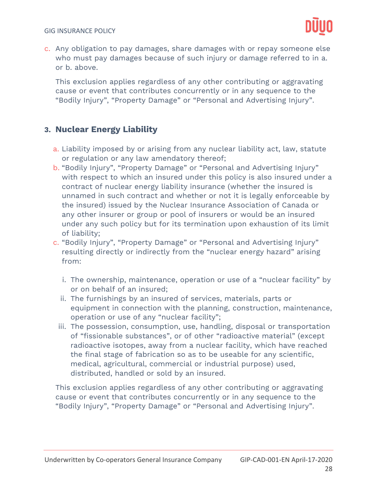

c. Any obligation to pay damages, share damages with or repay someone else who must pay damages because of such injury or damage referred to in a. or b. above.

This exclusion applies regardless of any other contributing or aggravating cause or event that contributes concurrently or in any sequence to the "Bodily Injury", "Property Damage" or "Personal and Advertising Injury".

### **3. Nuclear Energy Liability**

- a. Liability imposed by or arising from any nuclear liability act, law, statute or regulation or any law amendatory thereof;
- b. "Bodily Injury", "Property Damage" or "Personal and Advertising Injury" with respect to which an insured under this policy is also insured under a contract of nuclear energy liability insurance (whether the insured is unnamed in such contract and whether or not it is legally enforceable by the insured) issued by the Nuclear Insurance Association of Canada or any other insurer or group or pool of insurers or would be an insured under any such policy but for its termination upon exhaustion of its limit of liability;
- c. "Bodily Injury", "Property Damage" or "Personal and Advertising Injury" resulting directly or indirectly from the "nuclear energy hazard" arising from:
	- i. The ownership, maintenance, operation or use of a "nuclear facility" by or on behalf of an insured;
	- ii. The furnishings by an insured of services, materials, parts or equipment in connection with the planning, construction, maintenance, operation or use of any "nuclear facility";
	- iii. The possession, consumption, use, handling, disposal or transportation of "fissionable substances", or of other "radioactive material" (except radioactive isotopes, away from a nuclear facility, which have reached the final stage of fabrication so as to be useable for any scientific, medical, agricultural, commercial or industrial purpose) used, distributed, handled or sold by an insured.

This exclusion applies regardless of any other contributing or aggravating cause or event that contributes concurrently or in any sequence to the "Bodily Injury", "Property Damage" or "Personal and Advertising Injury".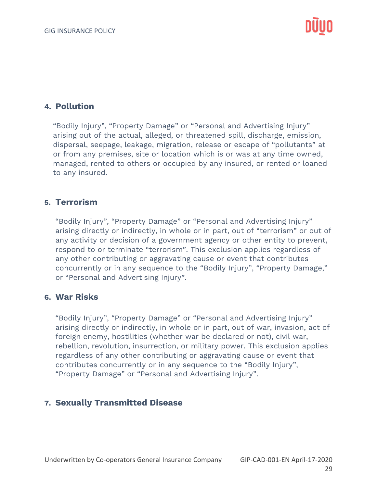#### **4. Pollution**

"Bodily Injury", "Property Damage" or "Personal and Advertising Injury" arising out of the actual, alleged, or threatened spill, discharge, emission, dispersal, seepage, leakage, migration, release or escape of "pollutants" at or from any premises, site or location which is or was at any time owned, managed, rented to others or occupied by any insured, or rented or loaned to any insured.

#### **5. Terrorism**

"Bodily Injury", "Property Damage" or "Personal and Advertising Injury" arising directly or indirectly, in whole or in part, out of "terrorism" or out of any activity or decision of a government agency or other entity to prevent, respond to or terminate "terrorism". This exclusion applies regardless of any other contributing or aggravating cause or event that contributes concurrently or in any sequence to the "Bodily Injury", "Property Damage," or "Personal and Advertising Injury".

#### **6. War Risks**

"Bodily Injury", "Property Damage" or "Personal and Advertising Injury" arising directly or indirectly, in whole or in part, out of war, invasion, act of foreign enemy, hostilities (whether war be declared or not), civil war, rebellion, revolution, insurrection, or military power. This exclusion applies regardless of any other contributing or aggravating cause or event that contributes concurrently or in any sequence to the "Bodily Injury", "Property Damage" or "Personal and Advertising Injury".

#### **7. Sexually Transmitted Disease**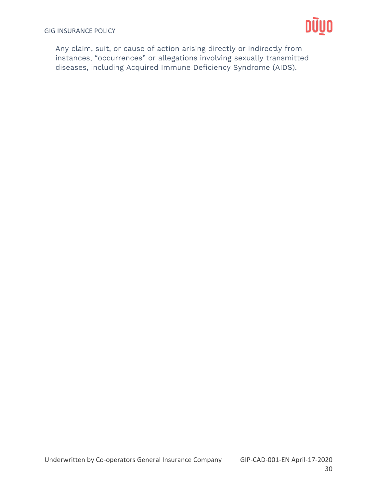

Any claim, suit, or cause of action arising directly or indirectly from instances, "occurrences" or allegations involving sexually transmitted diseases, including Acquired Immune Deficiency Syndrome (AIDS).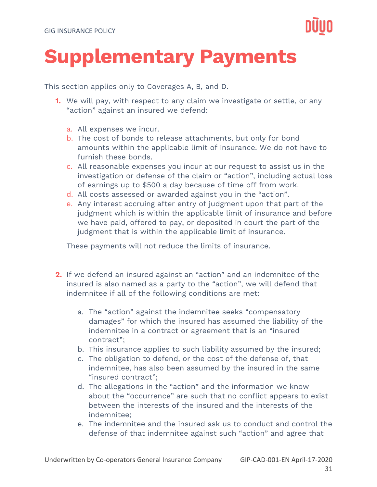## **Supplementary Payments**

This section applies only to Coverages A, B, and D.

- **1.** We will pay, with respect to any claim we investigate or settle, or any "action" against an insured we defend:
	- a. All expenses we incur.
	- b. The cost of bonds to release attachments, but only for bond amounts within the applicable limit of insurance. We do not have to furnish these bonds.
	- c. All reasonable expenses you incur at our request to assist us in the investigation or defense of the claim or "action", including actual loss of earnings up to \$500 a day because of time off from work.
	- d. All costs assessed or awarded against you in the "action".
	- e. Any interest accruing after entry of judgment upon that part of the judgment which is within the applicable limit of insurance and before we have paid, offered to pay, or deposited in court the part of the judgment that is within the applicable limit of insurance.

These payments will not reduce the limits of insurance.

- **2.** If we defend an insured against an "action" and an indemnitee of the insured is also named as a party to the "action", we will defend that indemnitee if all of the following conditions are met:
	- a. The "action" against the indemnitee seeks "compensatory damages" for which the insured has assumed the liability of the indemnitee in a contract or agreement that is an "insured contract";
	- b. This insurance applies to such liability assumed by the insured;
	- c. The obligation to defend, or the cost of the defense of, that indemnitee, has also been assumed by the insured in the same "insured contract";
	- d. The allegations in the "action" and the information we know about the "occurrence" are such that no conflict appears to exist between the interests of the insured and the interests of the indemnitee;
	- e. The indemnitee and the insured ask us to conduct and control the defense of that indemnitee against such "action" and agree that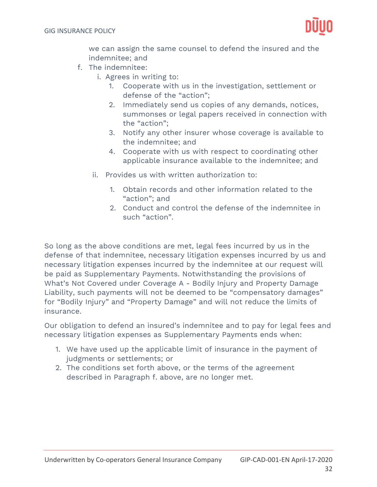

we can assign the same counsel to defend the insured and the indemnitee; and

- f. The indemnitee:
	- i. Agrees in writing to:
		- 1. Cooperate with us in the investigation, settlement or defense of the "action";
		- 2. Immediately send us copies of any demands, notices, summonses or legal papers received in connection with the "action";
		- 3. Notify any other insurer whose coverage is available to the indemnitee; and
		- 4. Cooperate with us with respect to coordinating other applicable insurance available to the indemnitee; and
	- ii. Provides us with written authorization to:
		- 1. Obtain records and other information related to the "action"; and
		- 2. Conduct and control the defense of the indemnitee in such "action".

So long as the above conditions are met, legal fees incurred by us in the defense of that indemnitee, necessary litigation expenses incurred by us and necessary litigation expenses incurred by the indemnitee at our request will be paid as Supplementary Payments. Notwithstanding the provisions of What's Not Covered under Coverage A - Bodily Injury and Property Damage Liability, such payments will not be deemed to be "compensatory damages" for "Bodily Injury" and "Property Damage" and will not reduce the limits of insurance.

Our obligation to defend an insured's indemnitee and to pay for legal fees and necessary litigation expenses as Supplementary Payments ends when:

- 1. We have used up the applicable limit of insurance in the payment of judgments or settlements; or
- 2. The conditions set forth above, or the terms of the agreement described in Paragraph f. above, are no longer met.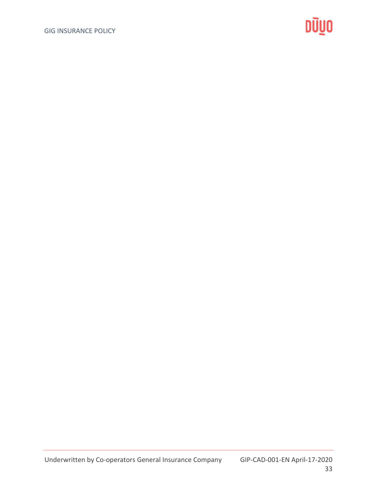## **DÙUO**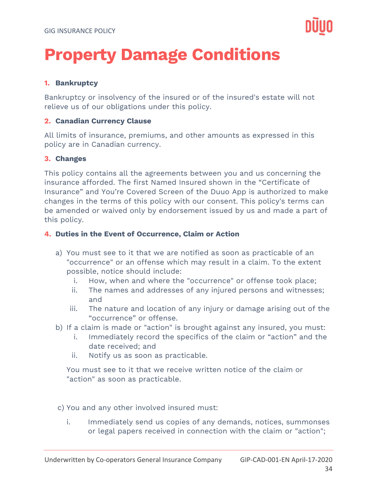

## **Property Damage Conditions**

#### **1. Bankruptcy**

Bankruptcy or insolvency of the insured or of the insured's estate will not relieve us of our obligations under this policy.

#### **2. Canadian Currency Clause**

All limits of insurance, premiums, and other amounts as expressed in this policy are in Canadian currency.

#### **3. Changes**

This policy contains all the agreements between you and us concerning the insurance afforded. The first Named Insured shown in the "Certificate of Insurance" and You're Covered Screen of the Duuo App is authorized to make changes in the terms of this policy with our consent. This policy's terms can be amended or waived only by endorsement issued by us and made a part of this policy.

#### **4. Duties in the Event of Occurrence, Claim or Action**

- a) You must see to it that we are notified as soon as practicable of an "occurrence" or an offense which may result in a claim. To the extent possible, notice should include:
	- i. How, when and where the "occurrence" or offense took place;
	- ii. The names and addresses of any injured persons and witnesses; and
	- iii. The nature and location of any injury or damage arising out of the "occurrence" or offense.
- b) If a claim is made or "action" is brought against any insured, you must:
	- i. Immediately record the specifics of the claim or "action" and the date received; and
	- ii. Notify us as soon as practicable.

You must see to it that we receive written notice of the claim or "action" as soon as practicable.

c) You and any other involved insured must:

i. Immediately send us copies of any demands, notices, summonses or legal papers received in connection with the claim or "action";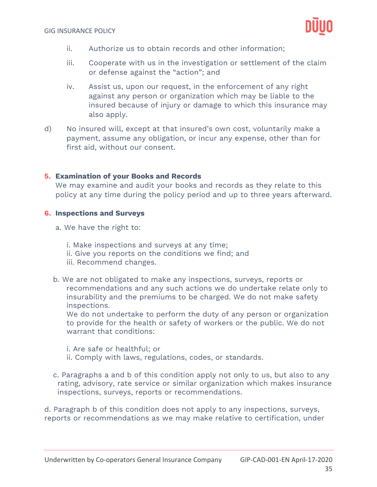

- ii. Authorize us to obtain records and other information;
- iii. Cooperate with us in the investigation or settlement of the claim or defense against the "action"; and
- iv. Assist us, upon our request, in the enforcement of any right against any person or organization which may be liable to the insured because of injury or damage to which this insurance may also apply.
- d) No insured will, except at that insured's own cost, voluntarily make a payment, assume any obligation, or incur any expense, other than for first aid, without our consent.

#### **5. Examination of your Books and Records**

We may examine and audit your books and records as they relate to this policy at any time during the policy period and up to three years afterward.

#### **6. Inspections and Surveys**

- a. We have the right to:
	- i. Make inspections and surveys at any time;
	- ii. Give you reports on the conditions we find; and
	- iii. Recommend changes.
- b. We are not obligated to make any inspections, surveys, reports or recommendations and any such actions we do undertake relate only to insurability and the premiums to be charged. We do not make safety inspections.

We do not undertake to perform the duty of any person or organization to provide for the health or safety of workers or the public. We do not warrant that conditions:

- i. Are safe or healthful; or
- ii. Comply with laws, regulations, codes, or standards.
- c. Paragraphs a and b of this condition apply not only to us, but also to any rating, advisory, rate service or similar organization which makes insurance inspections, surveys, reports or recommendations.

d. Paragraph b of this condition does not apply to any inspections, surveys, reports or recommendations as we may make relative to certification, under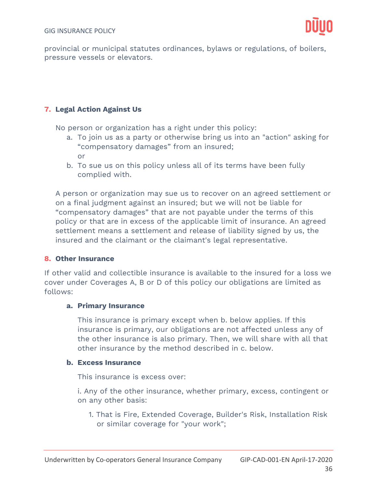

provincial or municipal statutes ordinances, bylaws or regulations, of boilers, pressure vessels or elevators.

#### **7. Legal Action Against Us**

No person or organization has a right under this policy:

- a. To join us as a party or otherwise bring us into an "action" asking for "compensatory damages" from an insured; or
- b. To sue us on this policy unless all of its terms have been fully complied with.

A person or organization may sue us to recover on an agreed settlement or on a final judgment against an insured; but we will not be liable for "compensatory damages" that are not payable under the terms of this policy or that are in excess of the applicable limit of insurance. An agreed settlement means a settlement and release of liability signed by us, the insured and the claimant or the claimant's legal representative.

#### **8. Other Insurance**

If other valid and collectible insurance is available to the insured for a loss we cover under Coverages A, B or D of this policy our obligations are limited as follows:

#### **a. Primary Insurance**

This insurance is primary except when b. below applies. If this insurance is primary, our obligations are not affected unless any of the other insurance is also primary. Then, we will share with all that other insurance by the method described in c. below.

#### **b. Excess Insurance**

This insurance is excess over:

i. Any of the other insurance, whether primary, excess, contingent or on any other basis:

1. That is Fire, Extended Coverage, Builder's Risk, Installation Risk or similar coverage for "your work";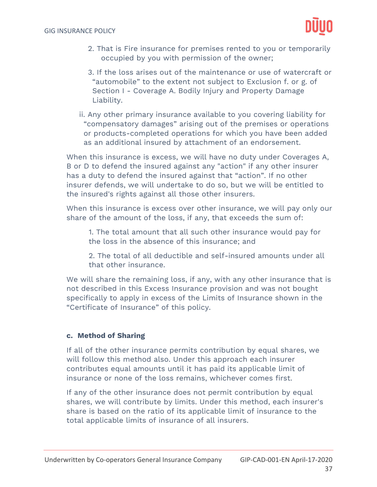

- 2. That is Fire insurance for premises rented to you or temporarily occupied by you with permission of the owner;
- 3. If the loss arises out of the maintenance or use of watercraft or "automobile" to the extent not subject to Exclusion f. or g. of Section I - Coverage A. Bodily Injury and Property Damage Liability.
- ii. Any other primary insurance available to you covering liability for "compensatory damages" arising out of the premises or operations or products-completed operations for which you have been added as an additional insured by attachment of an endorsement.

When this insurance is excess, we will have no duty under Coverages A, B or D to defend the insured against any "action" if any other insurer has a duty to defend the insured against that "action". If no other insurer defends, we will undertake to do so, but we will be entitled to the insured's rights against all those other insurers.

When this insurance is excess over other insurance, we will pay only our share of the amount of the loss, if any, that exceeds the sum of:

1. The total amount that all such other insurance would pay for the loss in the absence of this insurance; and

2. The total of all deductible and self-insured amounts under all that other insurance.

We will share the remaining loss, if any, with any other insurance that is not described in this Excess Insurance provision and was not bought specifically to apply in excess of the Limits of Insurance shown in the "Certificate of Insurance" of this policy.

#### **c. Method of Sharing**

If all of the other insurance permits contribution by equal shares, we will follow this method also. Under this approach each insurer contributes equal amounts until it has paid its applicable limit of insurance or none of the loss remains, whichever comes first.

If any of the other insurance does not permit contribution by equal shares, we will contribute by limits. Under this method, each insurer's share is based on the ratio of its applicable limit of insurance to the total applicable limits of insurance of all insurers.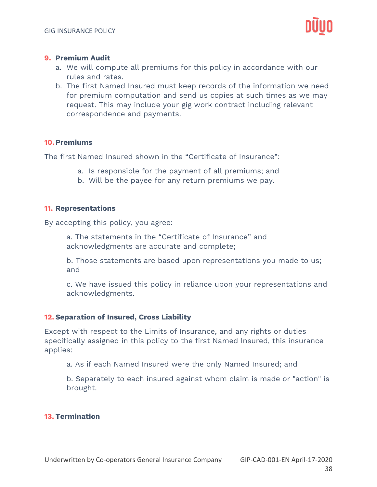

#### **9. Premium Audit**

- a. We will compute all premiums for this policy in accordance with our rules and rates.
- b. The first Named Insured must keep records of the information we need for premium computation and send us copies at such times as we may request. This may include your gig work contract including relevant correspondence and payments.

#### **10.Premiums**

The first Named Insured shown in the "Certificate of Insurance":

- a. Is responsible for the payment of all premiums; and
- b. Will be the payee for any return premiums we pay.

#### **11. Representations**

By accepting this policy, you agree:

a. The statements in the "Certificate of Insurance" and acknowledgments are accurate and complete;

b. Those statements are based upon representations you made to us; and

c. We have issued this policy in reliance upon your representations and acknowledgments.

#### **12. Separation of Insured, Cross Liability**

Except with respect to the Limits of Insurance, and any rights or duties specifically assigned in this policy to the first Named Insured, this insurance applies:

a. As if each Named Insured were the only Named Insured; and

b. Separately to each insured against whom claim is made or "action" is brought.

#### **13. Termination**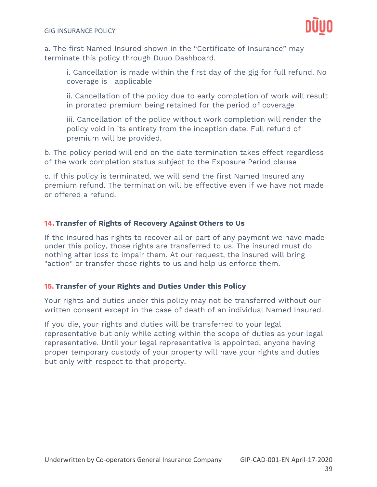a. The first Named Insured shown in the "Certificate of Insurance" may terminate this policy through Duuo Dashboard.

i. Cancellation is made within the first day of the gig for full refund. No coverage is applicable

ii. Cancellation of the policy due to early completion of work will result in prorated premium being retained for the period of coverage

iii. Cancellation of the policy without work completion will render the policy void in its entirety from the inception date. Full refund of premium will be provided.

b. The policy period will end on the date termination takes effect regardless of the work completion status subject to the Exposure Period clause

c. If this policy is terminated, we will send the first Named Insured any premium refund. The termination will be effective even if we have not made or offered a refund.

#### **14.Transfer of Rights of Recovery Against Others to Us**

If the insured has rights to recover all or part of any payment we have made under this policy, those rights are transferred to us. The insured must do nothing after loss to impair them. At our request, the insured will bring "action" or transfer those rights to us and help us enforce them.

#### **15. Transfer of your Rights and Duties Under this Policy**

Your rights and duties under this policy may not be transferred without our written consent except in the case of death of an individual Named Insured.

If you die, your rights and duties will be transferred to your legal representative but only while acting within the scope of duties as your legal representative. Until your legal representative is appointed, anyone having proper temporary custody of your property will have your rights and duties but only with respect to that property.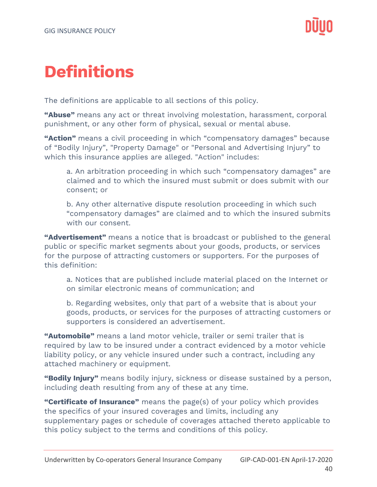## **Definitions**

The definitions are applicable to all sections of this policy.

**"Abuse"** means any act or threat involving molestation, harassment, corporal punishment, or any other form of physical, sexual or mental abuse.

**"Action"** means a civil proceeding in which "compensatory damages" because of "Bodily Injury", "Property Damage" or "Personal and Advertising Injury" to which this insurance applies are alleged. "Action" includes:

a. An arbitration proceeding in which such "compensatory damages" are claimed and to which the insured must submit or does submit with our consent; or

b. Any other alternative dispute resolution proceeding in which such "compensatory damages" are claimed and to which the insured submits with our consent.

**"Advertisement"** means a notice that is broadcast or published to the general public or specific market segments about your goods, products, or services for the purpose of attracting customers or supporters. For the purposes of this definition:

a. Notices that are published include material placed on the Internet or on similar electronic means of communication; and

b. Regarding websites, only that part of a website that is about your goods, products, or services for the purposes of attracting customers or supporters is considered an advertisement.

**"Automobile"** means a land motor vehicle, trailer or semi trailer that is required by law to be insured under a contract evidenced by a motor vehicle liability policy, or any vehicle insured under such a contract, including any attached machinery or equipment.

**"Bodily Injury"** means bodily injury, sickness or disease sustained by a person, including death resulting from any of these at any time.

**"Certificate of Insurance"** means the page(s) of your policy which provides the specifics of your insured coverages and limits, including any supplementary pages or schedule of coverages attached thereto applicable to this policy subject to the terms and conditions of this policy.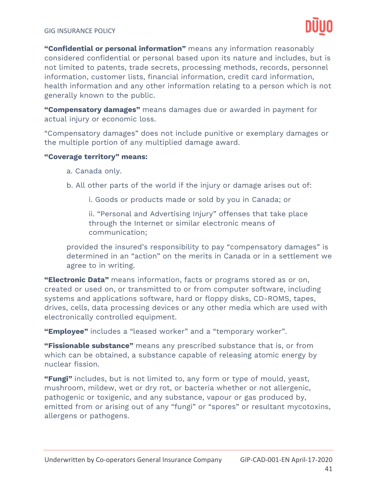

**"Confidential or personal information"** means any information reasonably considered confidential or personal based upon its nature and includes, but is not limited to patents, trade secrets, processing methods, records, personnel information, customer lists, financial information, credit card information, health information and any other information relating to a person which is not generally known to the public.

**"Compensatory damages"** means damages due or awarded in payment for actual injury or economic loss.

"Compensatory damages" does not include punitive or exemplary damages or the multiple portion of any multiplied damage award.

#### **"Coverage territory" means:**

- a. Canada only.
- b. All other parts of the world if the injury or damage arises out of:
	- i. Goods or products made or sold by you in Canada; or

ii. "Personal and Advertising Injury" offenses that take place through the Internet or similar electronic means of communication;

provided the insured's responsibility to pay "compensatory damages" is determined in an "action" on the merits in Canada or in a settlement we agree to in writing.

**"Electronic Data"** means information, facts or programs stored as or on, created or used on, or transmitted to or from computer software, including systems and applications software, hard or floppy disks, CD-ROMS, tapes, drives, cells, data processing devices or any other media which are used with electronically controlled equipment.

**"Employee"** includes a "leased worker" and a "temporary worker".

**"Fissionable substance"** means any prescribed substance that is, or from which can be obtained, a substance capable of releasing atomic energy by nuclear fission.

**"Fungi"** includes, but is not limited to, any form or type of mould, yeast, mushroom, mildew, wet or dry rot, or bacteria whether or not allergenic, pathogenic or toxigenic, and any substance, vapour or gas produced by, emitted from or arising out of any "fungi" or "spores" or resultant mycotoxins, allergens or pathogens.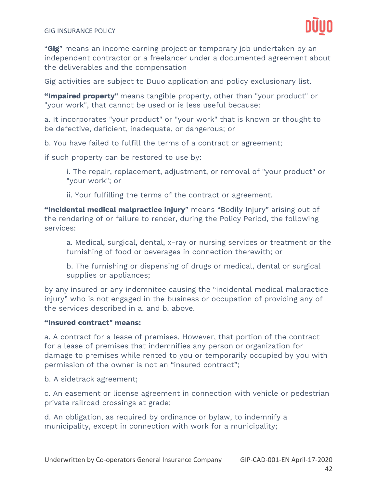

"**Gig**" means an income earning project or temporary job undertaken by an independent contractor or a freelancer under a documented agreement about the deliverables and the compensation

Gig activities are subject to Duuo application and policy exclusionary list.

**"Impaired property"** means tangible property, other than "your product" or "your work", that cannot be used or is less useful because:

a. It incorporates "your product" or "your work" that is known or thought to be defective, deficient, inadequate, or dangerous; or

b. You have failed to fulfill the terms of a contract or agreement;

if such property can be restored to use by:

i. The repair, replacement, adjustment, or removal of "your product" or "your work"; or

ii. Your fulfilling the terms of the contract or agreement.

**"Incidental medical malpractice injury**" means "Bodily Injury" arising out of the rendering of or failure to render, during the Policy Period, the following services:

a. Medical, surgical, dental, x-ray or nursing services or treatment or the furnishing of food or beverages in connection therewith; or

b. The furnishing or dispensing of drugs or medical, dental or surgical supplies or appliances;

by any insured or any indemnitee causing the "incidental medical malpractice injury" who is not engaged in the business or occupation of providing any of the services described in a. and b. above.

#### **"Insured contract" means:**

a. A contract for a lease of premises. However, that portion of the contract for a lease of premises that indemnifies any person or organization for damage to premises while rented to you or temporarily occupied by you with permission of the owner is not an "insured contract";

b. A sidetrack agreement;

c. An easement or license agreement in connection with vehicle or pedestrian private railroad crossings at grade;

d. An obligation, as required by ordinance or bylaw, to indemnify a municipality, except in connection with work for a municipality;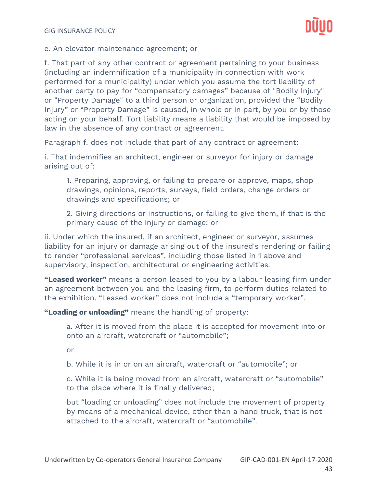

e. An elevator maintenance agreement; or

f. That part of any other contract or agreement pertaining to your business (including an indemnification of a municipality in connection with work performed for a municipality) under which you assume the tort liability of another party to pay for "compensatory damages" because of "Bodily Injury" or "Property Damage" to a third person or organization, provided the "Bodily Injury" or "Property Damage" is caused, in whole or in part, by you or by those acting on your behalf. Tort liability means a liability that would be imposed by law in the absence of any contract or agreement.

Paragraph f. does not include that part of any contract or agreement:

i. That indemnifies an architect, engineer or surveyor for injury or damage arising out of:

1. Preparing, approving, or failing to prepare or approve, maps, shop drawings, opinions, reports, surveys, field orders, change orders or drawings and specifications; or

2. Giving directions or instructions, or failing to give them, if that is the primary cause of the injury or damage; or

ii. Under which the insured, if an architect, engineer or surveyor, assumes liability for an injury or damage arising out of the insured's rendering or failing to render "professional services", including those listed in 1 above and supervisory, inspection, architectural or engineering activities.

**"Leased worker"** means a person leased to you by a labour leasing firm under an agreement between you and the leasing firm, to perform duties related to the exhibition. "Leased worker" does not include a "temporary worker".

**"Loading or unloading"** means the handling of property:

a. After it is moved from the place it is accepted for movement into or onto an aircraft, watercraft or "automobile";

or

b. While it is in or on an aircraft, watercraft or "automobile"; or

c. While it is being moved from an aircraft, watercraft or "automobile" to the place where it is finally delivered;

but "loading or unloading" does not include the movement of property by means of a mechanical device, other than a hand truck, that is not attached to the aircraft, watercraft or "automobile".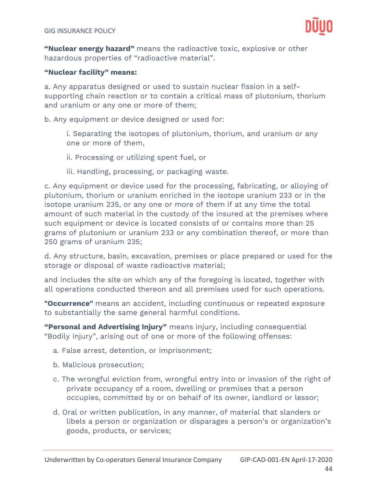**"Nuclear energy hazard"** means the radioactive toxic, explosive or other hazardous properties of "radioactive material".

#### **"Nuclear facility" means:**

a. Any apparatus designed or used to sustain nuclear fission in a selfsupporting chain reaction or to contain a critical mass of plutonium, thorium and uranium or any one or more of them;

b. Any equipment or device designed or used for:

i. Separating the isotopes of plutonium, thorium, and uranium or any one or more of them,

- ii. Processing or utilizing spent fuel, or
- iii. Handling, processing, or packaging waste.

c. Any equipment or device used for the processing, fabricating, or alloying of plutonium, thorium or uranium enriched in the isotope uranium 233 or in the isotope uranium 235, or any one or more of them if at any time the total amount of such material in the custody of the insured at the premises where such equipment or device is located consists of or contains more than 25 grams of plutonium or uranium 233 or any combination thereof, or more than 250 grams of uranium 235;

d. Any structure, basin, excavation, premises or place prepared or used for the storage or disposal of waste radioactive material;

and includes the site on which any of the foregoing is located, together with all operations conducted thereon and all premises used for such operations.

**"Occurrence"** means an accident, including continuous or repeated exposure to substantially the same general harmful conditions.

**"Personal and Advertising Injury"** means injury, including consequential "Bodily Injury", arising out of one or more of the following offenses:

- a. False arrest, detention, or imprisonment;
- b. Malicious prosecution;
- c. The wrongful eviction from, wrongful entry into or invasion of the right of private occupancy of a room, dwelling or premises that a person occupies, committed by or on behalf of its owner, landlord or lessor;
- d. Oral or written publication, in any manner, of material that slanders or libels a person or organization or disparages a person's or organization's goods, products, or services;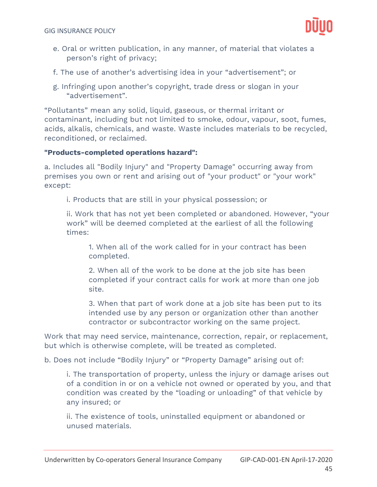

- e. Oral or written publication, in any manner, of material that violates a person's right of privacy;
- f. The use of another's advertising idea in your "advertisement"; or
- g. Infringing upon another's copyright, trade dress or slogan in your "advertisement".

"Pollutants" mean any solid, liquid, gaseous, or thermal irritant or contaminant, including but not limited to smoke, odour, vapour, soot, fumes, acids, alkalis, chemicals, and waste. Waste includes materials to be recycled, reconditioned, or reclaimed.

#### **"Products-completed operations hazard":**

a. Includes all "Bodily Injury" and "Property Damage" occurring away from premises you own or rent and arising out of "your product" or "your work" except:

i. Products that are still in your physical possession; or

ii. Work that has not yet been completed or abandoned. However, "your work" will be deemed completed at the earliest of all the following times:

1. When all of the work called for in your contract has been completed.

2. When all of the work to be done at the job site has been completed if your contract calls for work at more than one job site.

3. When that part of work done at a job site has been put to its intended use by any person or organization other than another contractor or subcontractor working on the same project.

Work that may need service, maintenance, correction, repair, or replacement, but which is otherwise complete, will be treated as completed.

b. Does not include "Bodily Injury" or "Property Damage" arising out of:

i. The transportation of property, unless the injury or damage arises out of a condition in or on a vehicle not owned or operated by you, and that condition was created by the "loading or unloading" of that vehicle by any insured; or

ii. The existence of tools, uninstalled equipment or abandoned or unused materials.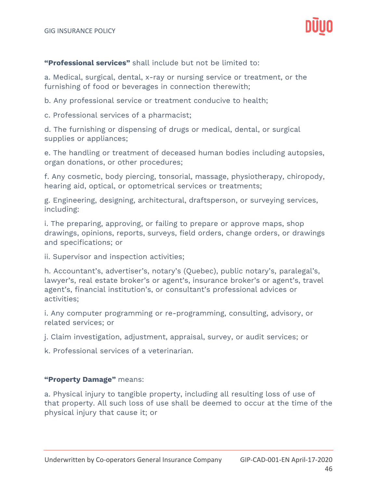

**"Professional services"** shall include but not be limited to:

a. Medical, surgical, dental, x-ray or nursing service or treatment, or the furnishing of food or beverages in connection therewith;

b. Any professional service or treatment conducive to health;

c. Professional services of a pharmacist;

d. The furnishing or dispensing of drugs or medical, dental, or surgical supplies or appliances;

e. The handling or treatment of deceased human bodies including autopsies, organ donations, or other procedures;

f. Any cosmetic, body piercing, tonsorial, massage, physiotherapy, chiropody, hearing aid, optical, or optometrical services or treatments;

g. Engineering, designing, architectural, draftsperson, or surveying services, including:

i. The preparing, approving, or failing to prepare or approve maps, shop drawings, opinions, reports, surveys, field orders, change orders, or drawings and specifications; or

ii. Supervisor and inspection activities;

h. Accountant's, advertiser's, notary's (Quebec), public notary's, paralegal's, lawyer's, real estate broker's or agent's, insurance broker's or agent's, travel agent's, financial institution's, or consultant's professional advices or activities;

i. Any computer programming or re-programming, consulting, advisory, or related services; or

j. Claim investigation, adjustment, appraisal, survey, or audit services; or

k. Professional services of a veterinarian.

#### **"Property Damage"** means:

a. Physical injury to tangible property, including all resulting loss of use of that property. All such loss of use shall be deemed to occur at the time of the physical injury that cause it; or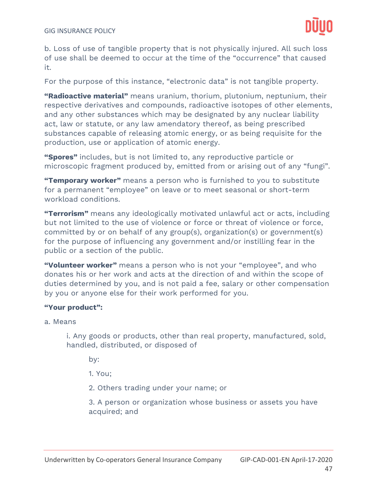

b. Loss of use of tangible property that is not physically injured. All such loss of use shall be deemed to occur at the time of the "occurrence" that caused it.

For the purpose of this instance, "electronic data" is not tangible property.

**"Radioactive material"** means uranium, thorium, plutonium, neptunium, their respective derivatives and compounds, radioactive isotopes of other elements, and any other substances which may be designated by any nuclear liability act, law or statute, or any law amendatory thereof, as being prescribed substances capable of releasing atomic energy, or as being requisite for the production, use or application of atomic energy.

**"Spores"** includes, but is not limited to, any reproductive particle or microscopic fragment produced by, emitted from or arising out of any "fungi".

**"Temporary worker"** means a person who is furnished to you to substitute for a permanent "employee" on leave or to meet seasonal or short-term workload conditions.

**"Terrorism"** means any ideologically motivated unlawful act or acts, including but not limited to the use of violence or force or threat of violence or force, committed by or on behalf of any group(s), organization(s) or government(s) for the purpose of influencing any government and/or instilling fear in the public or a section of the public.

**"Volunteer worker"** means a person who is not your "employee", and who donates his or her work and acts at the direction of and within the scope of duties determined by you, and is not paid a fee, salary or other compensation by you or anyone else for their work performed for you.

#### **"Your product":**

a. Means

i. Any goods or products, other than real property, manufactured, sold, handled, distributed, or disposed of

by:

1. You;

2. Others trading under your name; or

3. A person or organization whose business or assets you have acquired; and